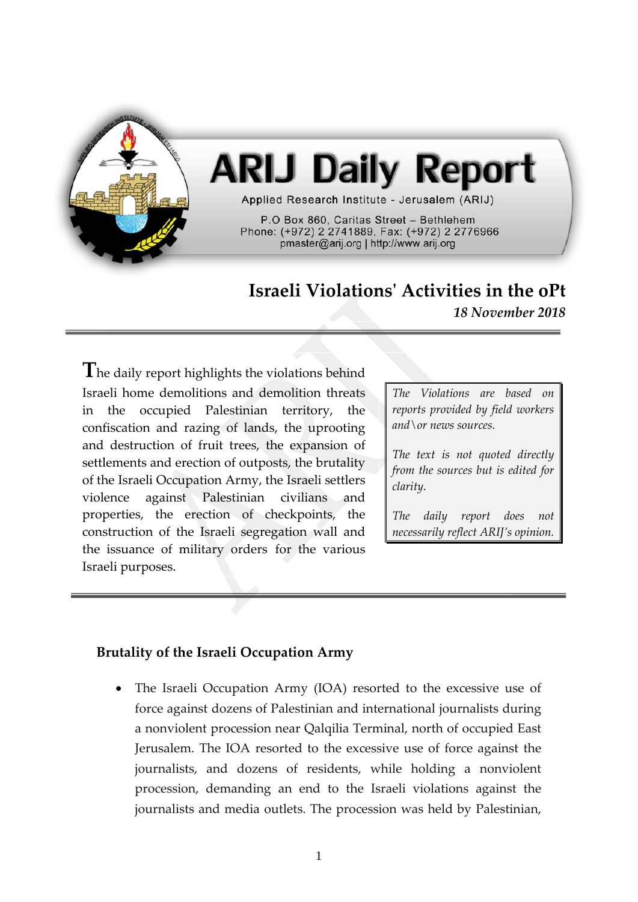

# **ARIJ Daily Report**

Applied Research Institute - Jerusalem (ARIJ)

P.O Box 860, Caritas Street - Bethlehem Phone: (+972) 2 2741889, Fax: (+972) 2 2776966 pmaster@arij.org | http://www.arij.org

# **Israeli Violations' Activities in the oPt**

*18 November 2018*

**T**he daily report highlights the violations behind Israeli home demolitions and demolition threats in the occupied Palestinian territory, the confiscation and razing of lands, the uprooting and destruction of fruit trees, the expansion of settlements and erection of outposts, the brutality of the Israeli Occupation Army, the Israeli settlers violence against Palestinian civilians and properties, the erection of checkpoints, the construction of the Israeli segregation wall and the issuance of military orders for the various Israeli purposes.

*The Violations are based on reports provided by field workers and\or news sources.*

*The text is not quoted directly from the sources but is edited for clarity.*

*The daily report does not necessarily reflect ARIJ's opinion.*

# **Brutality of the Israeli Occupation Army**

• The Israeli Occupation Army (IOA) resorted to the excessive use of force against dozens of Palestinian and international journalists during a nonviolent procession near Qalqilia Terminal, north of occupied East Jerusalem. The IOA resorted to the excessive use of force against the journalists, and dozens of residents, while holding a nonviolent procession, demanding an end to the Israeli violations against the journalists and media outlets. The procession was held by Palestinian,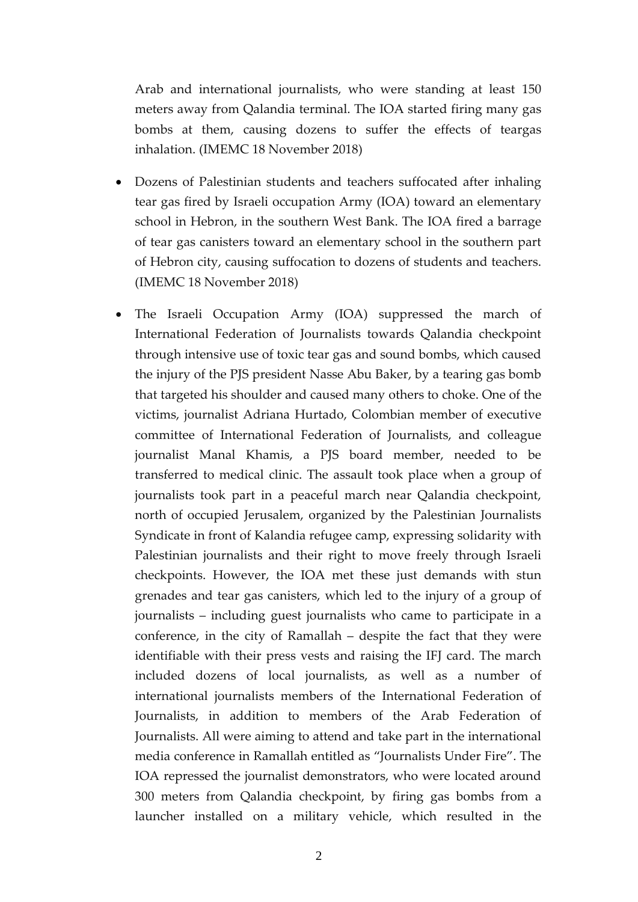Arab and international journalists, who were standing at least 150 meters away from Qalandia terminal. The IOA started firing many gas bombs at them, causing dozens to suffer the effects of teargas inhalation. (IMEMC 18 November 2018)

- Dozens of Palestinian students and teachers suffocated after inhaling tear gas fired by Israeli occupation Army (IOA) toward an elementary school in Hebron, in the southern West Bank. The IOA fired a barrage of tear gas canisters toward an elementary school in the southern part of Hebron city, causing suffocation to dozens of students and teachers. (IMEMC 18 November 2018)
- The Israeli Occupation Army (IOA) suppressed the march of International Federation of Journalists towards Qalandia checkpoint through intensive use of toxic tear gas and sound bombs, which caused the injury of the PJS president Nasse Abu Baker, by a tearing gas bomb that targeted his shoulder and caused many others to choke. One of the victims, journalist Adriana Hurtado, Colombian member of executive committee of International Federation of Journalists, and colleague journalist Manal Khamis, a PJS board member, needed to be transferred to medical clinic. The assault took place when a group of journalists took part in a peaceful march near Qalandia checkpoint, north of occupied Jerusalem, organized by the Palestinian Journalists Syndicate in front of Kalandia refugee camp, expressing solidarity with Palestinian journalists and their right to move freely through Israeli checkpoints. However, the IOA met these just demands with stun grenades and tear gas canisters, which led to the injury of a group of journalists – including guest journalists who came to participate in a conference, in the city of Ramallah – despite the fact that they were identifiable with their press vests and raising the IFJ card. The march included dozens of local journalists, as well as a number of international journalists members of the International Federation of Journalists, in addition to members of the Arab Federation of Journalists. All were aiming to attend and take part in the international media conference in Ramallah entitled as "Journalists Under Fire". The IOA repressed the journalist demonstrators, who were located around 300 meters from Qalandia checkpoint, by firing gas bombs from a launcher installed on a military vehicle, which resulted in the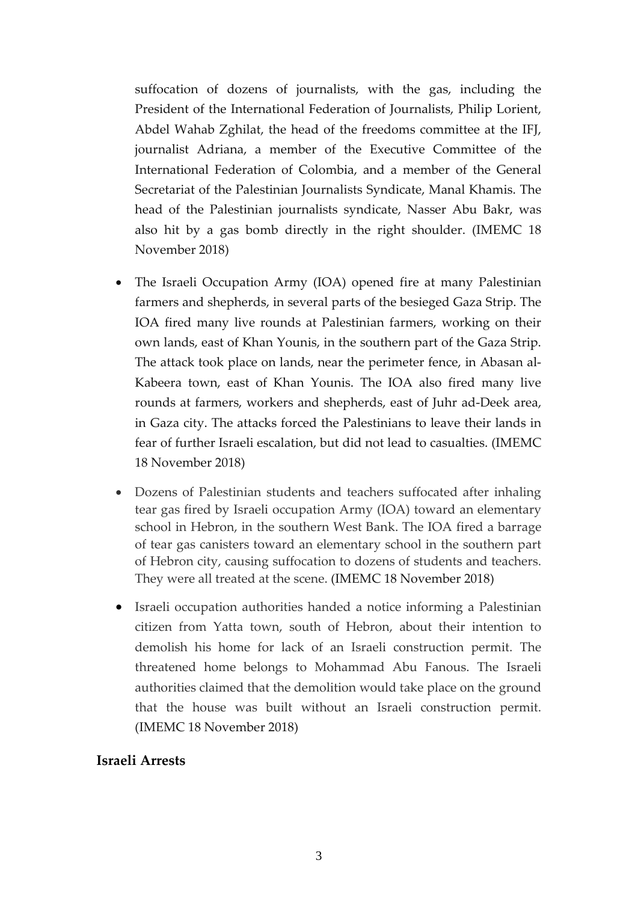suffocation of dozens of journalists, with the gas, including the President of the International Federation of Journalists, Philip Lorient, Abdel Wahab Zghilat, the head of the freedoms committee at the IFJ, journalist Adriana, a member of the Executive Committee of the International Federation of Colombia, and a member of the General Secretariat of the Palestinian Journalists Syndicate, Manal Khamis. The head of the Palestinian journalists syndicate, Nasser Abu Bakr, was also hit by a gas bomb directly in the right shoulder. (IMEMC 18 November 2018)

- The Israeli Occupation Army (IOA) opened fire at many Palestinian farmers and shepherds, in several parts of the besieged Gaza Strip. The IOA fired many live rounds at Palestinian farmers, working on their own lands, east of Khan Younis, in the southern part of the Gaza Strip. The attack took place on lands, near the perimeter fence, in Abasan al-Kabeera town, east of Khan Younis. The IOA also fired many live rounds at farmers, workers and shepherds, east of Juhr ad-Deek area, in Gaza city. The attacks forced the Palestinians to leave their lands in fear of further Israeli escalation, but did not lead to casualties. (IMEMC 18 November 2018)
- Dozens of Palestinian students and teachers suffocated after inhaling tear gas fired by Israeli occupation Army (IOA) toward an elementary school in Hebron, in the southern West Bank. The IOA fired a barrage of tear gas canisters toward an elementary school in the southern part of Hebron city, causing suffocation to dozens of students and teachers. They were all treated at the scene. (IMEMC 18 November 2018)
- Israeli occupation authorities handed a notice informing a Palestinian citizen from Yatta town, south of Hebron, about their intention to demolish his home for lack of an Israeli construction permit. The threatened home belongs to Mohammad Abu Fanous. The Israeli authorities claimed that the demolition would take place on the ground that the house was built without an Israeli construction permit. (IMEMC 18 November 2018)

#### **Israeli Arrests**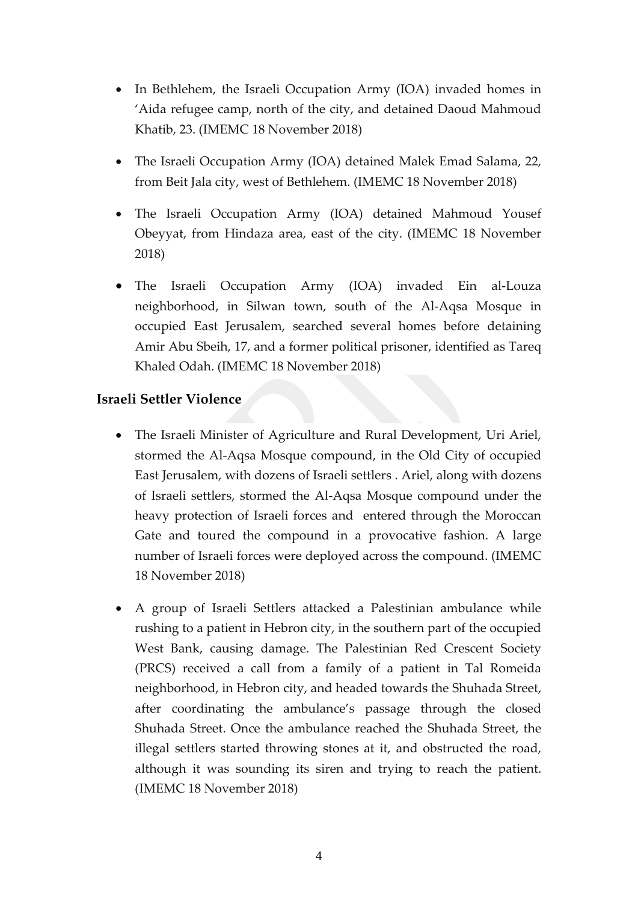- In Bethlehem, the Israeli Occupation Army (IOA) invaded homes in 'Aida refugee camp, north of the city, and detained Daoud Mahmoud Khatib, 23. (IMEMC 18 November 2018)
- The Israeli Occupation Army (IOA) detained Malek Emad Salama, 22, from Beit Jala city, west of Bethlehem. (IMEMC 18 November 2018)
- The Israeli Occupation Army (IOA) detained Mahmoud Yousef Obeyyat, from Hindaza area, east of the city. (IMEMC 18 November 2018)
- The Israeli Occupation Army (IOA) invaded Ein al-Louza neighborhood, in Silwan town, south of the Al-Aqsa Mosque in occupied East Jerusalem, searched several homes before detaining Amir Abu Sbeih, 17, and a former political prisoner, identified as Tareq Khaled Odah. (IMEMC 18 November 2018)

## **Israeli Settler Violence**

- The Israeli Minister of Agriculture and Rural Development, Uri Ariel, stormed the Al-Aqsa Mosque compound, in the Old City of occupied East Jerusalem, with dozens of Israeli settlers . Ariel, along with dozens of Israeli settlers, stormed the Al-Aqsa Mosque compound under the heavy protection of Israeli forces and entered through the Moroccan Gate and toured the compound in a provocative fashion. A large number of Israeli forces were deployed across the compound. (IMEMC 18 November 2018)
- A group of Israeli Settlers attacked a Palestinian ambulance while rushing to a patient in Hebron city, in the southern part of the occupied West Bank, causing damage. The Palestinian Red Crescent Society (PRCS) received a call from a family of a patient in Tal Romeida neighborhood, in Hebron city, and headed towards the Shuhada Street, after coordinating the ambulance's passage through the closed Shuhada Street. Once the ambulance reached the Shuhada Street, the illegal settlers started throwing stones at it, and obstructed the road, although it was sounding its siren and trying to reach the patient. (IMEMC 18 November 2018)